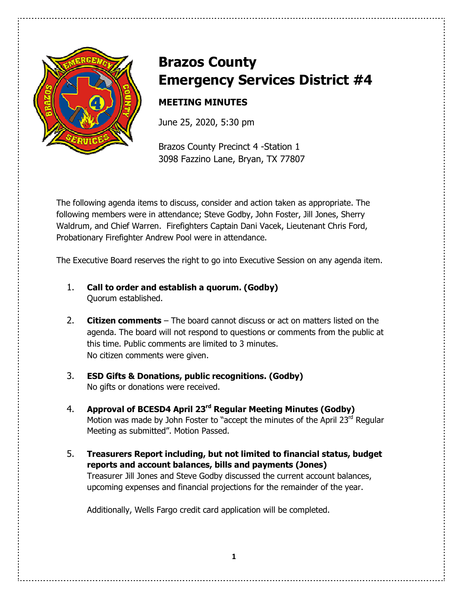

# **Brazos County Emergency Services District #4**

# **MEETING MINUTES**

June 25, 2020, 5:30 pm

Brazos County Precinct 4 -Station 1 3098 Fazzino Lane, Bryan, TX 77807

The following agenda items to discuss, consider and action taken as appropriate. The following members were in attendance; Steve Godby, John Foster, Jill Jones, Sherry Waldrum, and Chief Warren. Firefighters Captain Dani Vacek, Lieutenant Chris Ford, Probationary Firefighter Andrew Pool were in attendance.

The Executive Board reserves the right to go into Executive Session on any agenda item.

- 1. **Call to order and establish a quorum. (Godby)** Quorum established.
- 2. **Citizen comments** The board cannot discuss or act on matters listed on the agenda. The board will not respond to questions or comments from the public at this time. Public comments are limited to 3 minutes. No citizen comments were given.
- 3. **ESD Gifts & Donations, public recognitions. (Godby)** No gifts or donations were received.
- 4. **Approval of BCESD4 April 23rd Regular Meeting Minutes (Godby)** Motion was made by John Foster to "accept the minutes of the April  $23<sup>rd</sup>$  Regular Meeting as submitted". Motion Passed.
- 5. **Treasurers Report including, but not limited to financial status, budget reports and account balances, bills and payments (Jones)**  Treasurer Jill Jones and Steve Godby discussed the current account balances, upcoming expenses and financial projections for the remainder of the year.

Additionally, Wells Fargo credit card application will be completed.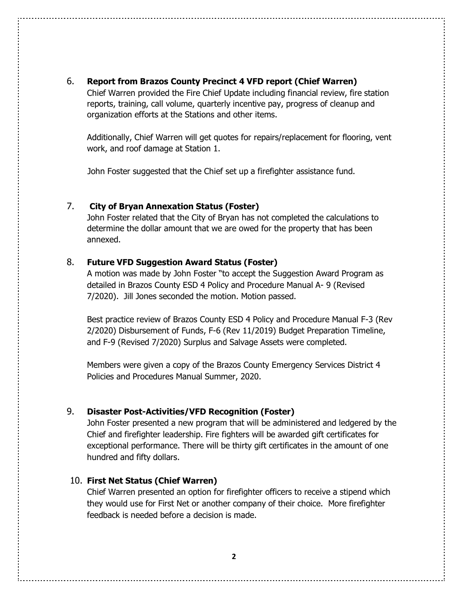#### 6. **Report from Brazos County Precinct 4 VFD report (Chief Warren)**

 Chief Warren provided the Fire Chief Update including financial review, fire station reports, training, call volume, quarterly incentive pay, progress of cleanup and organization efforts at the Stations and other items.

 Additionally, Chief Warren will get quotes for repairs/replacement for flooring, vent work, and roof damage at Station 1.

John Foster suggested that the Chief set up a firefighter assistance fund.

#### 7. **City of Bryan Annexation Status (Foster)**

 John Foster related that the City of Bryan has not completed the calculations to determine the dollar amount that we are owed for the property that has been annexed.

#### 8. **Future VFD Suggestion Award Status (Foster)**

A motion was made by John Foster "to accept the Suggestion Award Program as detailed in Brazos County ESD 4 Policy and Procedure Manual A- 9 (Revised 7/2020). Jill Jones seconded the motion. Motion passed.

Best practice review of Brazos County ESD 4 Policy and Procedure Manual F-3 (Rev 2/2020) Disbursement of Funds, F-6 (Rev 11/2019) Budget Preparation Timeline, and F-9 (Revised 7/2020) Surplus and Salvage Assets were completed.

Members were given a copy of the Brazos County Emergency Services District 4 Policies and Procedures Manual Summer, 2020.

#### 9. **Disaster Post-Activities/VFD Recognition (Foster)**

John Foster presented a new program that will be administered and ledgered by the Chief and firefighter leadership. Fire fighters will be awarded gift certificates for exceptional performance. There will be thirty gift certificates in the amount of one hundred and fifty dollars.

#### 10. **First Net Status (Chief Warren)**

Chief Warren presented an option for firefighter officers to receive a stipend which they would use for First Net or another company of their choice. More firefighter feedback is needed before a decision is made.